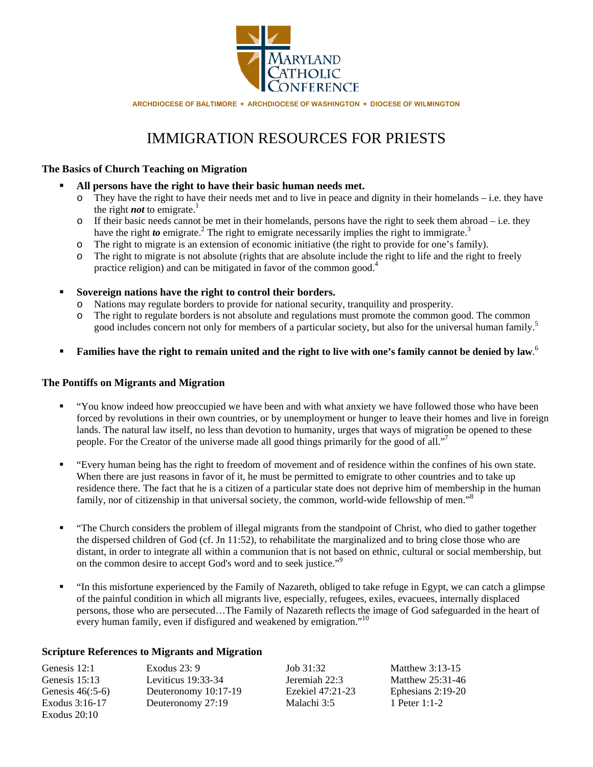

**ARCHDIOCESE OF BALTIMORE + ARCHDIOCESE OF WASHINGTON + DIOCESE OF WILMINGTON**

# IMMIGRATION RESOURCES FOR PRIESTS

### **The Basics of Church Teaching on Migration**

- **All persons have the right to have their basic human needs met.** 
	- o They have the right to have their needs met and to live in peace and dignity in their homelands i.e. they have the right *not* to emigrate.<sup>1</sup>
	- $\circ$  If their basic needs cannot be met in their homelands, persons have the right to seek them abroad i.e. they have the right *to* emigrate.<sup>2</sup> The right to emigrate necessarily implies the right to immigrate.<sup>3</sup>
	- o The right to migrate is an extension of economic initiative (the right to provide for one's family).
	- o The right to migrate is not absolute (rights that are absolute include the right to life and the right to freely practice religion) and can be mitigated in favor of the common good.4
- **Sovereign nations have the right to control their borders.** 
	- Nations may regulate borders to provide for national security, tranquility and prosperity.
	- o The right to regulate borders is not absolute and regulations must promote the common good. The common good includes concern not only for members of a particular society, but also for the universal human family.<sup>5</sup>
- **Families have the right to remain united and the right to live with one's family cannot be denied by law**. 6

### **The Pontiffs on Migrants and Migration**

- "You know indeed how preoccupied we have been and with what anxiety we have followed those who have been forced by revolutions in their own countries, or by unemployment or hunger to leave their homes and live in foreign lands. The natural law itself, no less than devotion to humanity, urges that ways of migration be opened to these people. For the Creator of the universe made all good things primarily for the good of all."<sup>7</sup>
- "Every human being has the right to freedom of movement and of residence within the confines of his own state. When there are just reasons in favor of it, he must be permitted to emigrate to other countries and to take up residence there. The fact that he is a citizen of a particular state does not deprive him of membership in the human family, nor of citizenship in that universal society, the common, world-wide fellowship of men."<sup>8</sup>
- **"** "The Church considers the problem of illegal migrants from the standpoint of Christ, who died to gather together the dispersed children of God (cf. Jn 11:52), to rehabilitate the marginalized and to bring close those who are distant, in order to integrate all within a communion that is not based on ethnic, cultural or social membership, but on the common desire to accept God's word and to seek justice."<sup>9</sup>
- "In this misfortune experienced by the Family of Nazareth, obliged to take refuge in Egypt, we can catch a glimpse of the painful condition in which all migrants live, especially, refugees, exiles, evacuees, internally displaced persons, those who are persecuted…The Family of Nazareth reflects the image of God safeguarded in the heart of every human family, even if disfigured and weakened by emigration."<sup>10</sup>

## **Scripture References to Migrants and Migration**

| Genesis 12:1       | Exodus $23:9$          | Job $31:32$      | Matthew $3:13-15$   |
|--------------------|------------------------|------------------|---------------------|
| Genesis $15:13$    | Leviticus $19:33-34$   | Jeremiah 22:3    | Matthew 25:31-46    |
| Genesis $46(.5-6)$ | Deuteronomy $10:17-19$ | Ezekiel 47:21-23 | Ephesians $2:19-20$ |
| Exodus 3:16-17     | Deuteronomy 27:19      | Malachi 3:5      | 1 Peter 1:1-2       |
| Exodus $20:10$     |                        |                  |                     |